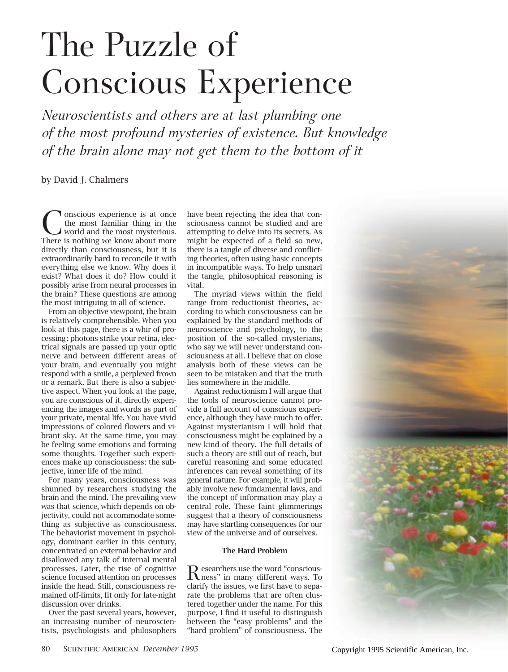# The Puzzle of Conscious Experience

*Neuroscientists and others are at last plumbing one of the most profound mysteries of existence. But knowledge of the brain alone may not get them to the bottom of it*

by David J. Chalmers

Conscious experience is at once<br>the most familiar thing in the<br>world and the most mysterious.<br>There is nothing we know about more the most familiar thing in the There is nothing we know about more directly than consciousness, but it is extraordinarily hard to reconcile it with everything else we know. Why does it exist? What does it do? How could it possibly arise from neural processes in the brain? These questions are among the most intriguing in all of science.

From an objective viewpoint, the brain is relatively comprehensible. When you look at this page, there is a whir of processing: photons strike your retina, electrical signals are passed up your optic nerve and between different areas of your brain, and eventually you might respond with a smile, a perplexed frown or a remark. But there is also a subjective aspect. When you look at the page, you are conscious of it, directly experiencing the images and words as part of your private, mental life. You have vivid impressions of colored flowers and vibrant sky. At the same time, you may be feeling some emotions and forming some thoughts. Together such experiences make up consciousness: the subjective, inner life of the mind.

For many years, consciousness was shunned by researchers studying the brain and the mind. The prevailing view was that science, which depends on objectivity, could not accommodate something as subjective as consciousness. The behaviorist movement in psychology, dominant earlier in this century, concentrated on external behavior and disallowed any talk of internal mental processes. Later, the rise of cognitive science focused attention on processes inside the head. Still, consciousness remained off-limits, fit only for late-night discussion over drinks.

Over the past several years, however, an increasing number of neuroscientists, psychologists and philosophers have been rejecting the idea that consciousness cannot be studied and are attempting to delve into its secrets. As might be expected of a field so new, there is a tangle of diverse and conflicting theories, often using basic concepts in incompatible ways. To help unsnarl the tangle, philosophical reasoning is vital.

The myriad views within the field range from reductionist theories, according to which consciousness can be explained by the standard methods of neuroscience and psychology, to the position of the so-called mysterians, who say we will never understand consciousness at all. I believe that on close analysis both of these views can be seen to be mistaken and that the truth lies somewhere in the middle.

Against reductionism I will argue that the tools of neuroscience cannot provide a full account of conscious experience, although they have much to offer. Against mysterianism I will hold that consciousness might be explained by a new kind of theory. The full details of such a theory are still out of reach, but careful reasoning and some educated inferences can reveal something of its general nature. For example, it will probably involve new fundamental laws, and the concept of information may play a central role. These faint glimmerings suggest that a theory of consciousness may have startling consequences for our view of the universe and of ourselves.

### The Hard Problem

Researchers use the word "conscious-<br>Ress" in many different ways. To clarify the issues, we first have to separate the problems that are often clustered together under the name. For this purpose, I find it useful to distinguish between the "easy problems" and the "hard problem" of consciousness. The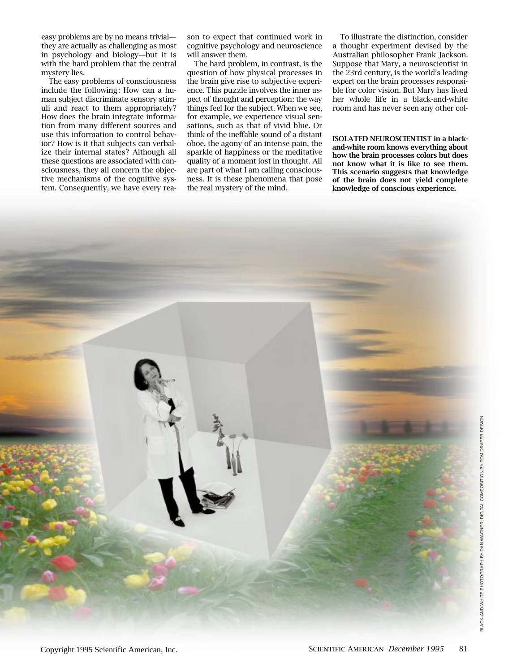easy problems are by no means trivial they are actually as challenging as most in psychology and biology—but it is with the hard problem that the central mystery lies.

The easy problems of consciousness include the following: How can a human subject discriminate sensory stimuli and react to them appropriately? How does the brain integrate information from many different sources and use this information to control behavior? How is it that subjects can verbalize their internal states? Although all these questions are associated with consciousness, they all concern the objective mechanisms of the cognitive system. Consequently, we have every rea-

son to expect that continued work in cognitive psychology and neuroscience will answer them.

The hard problem, in contrast, is the question of how physical processes in the brain give rise to subjective experience. This puzzle involves the inner aspect of thought and perception: the way things feel for the subject. When we see, for example, we experience visual sensations, such as that of vivid blue. Or think of the ineffable sound of a distant oboe, the agony of an intense pain, the sparkle of happiness or the meditative quality of a moment lost in thought. All are part of what I am calling consciousness. It is these phenomena that pose the real mystery of the mind.

To illustrate the distinction, consider a thought experiment devised by the Australian philosopher Frank Jackson. Suppose that Mary, a neuroscientist in the 23rd century, is the world's leading expert on the brain processes responsible for color vision. But Mary has lived her whole life in a black-and-white room and has never seen any other col-

ISOLATED NEUROSCIENTIST in a blackand-white room knows everything about how the brain processes colors but does not know what it is like to see them. This scenario suggests that knowledge of the brain does not yield complete knowledge of conscious experience.

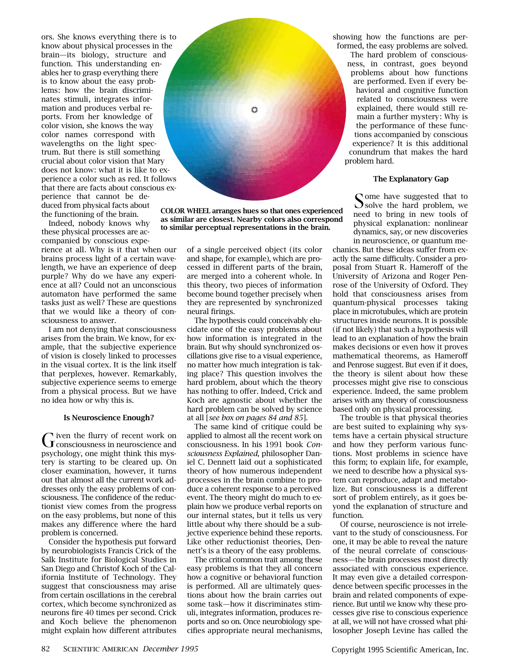ors. She knows everything there is to know about physical processes in the brain—its biology, structure and function. This understanding enables her to grasp everything there is to know about the easy problems: how the brain discriminates stimuli, integrates information and produces verbal reports. From her knowledge of color vision, she knows the way color names correspond with wavelengths on the light spectrum. But there is still something crucial about color vision that Mary does not know: what it is like to experience a color such as red. It follows that there are facts about conscious experience that cannot be deduced from physical facts about the functioning of the brain.

Indeed, nobody knows why these physical processes are accompanied by conscious experience at all. Why is it that when our brains process light of a certain wavelength, we have an experience of deep purple? Why do we have any experience at all? Could not an unconscious automaton have performed the same tasks just as well? These are questions that we would like a theory of con-

sciousness to answer. I am not denying that consciousness arises from the brain. We know, for example, that the subjective experience of vision is closely linked to processes in the visual cortex. It is the link itself that perplexes, however. Remarkably, subjective experience seems to emerge from a physical process. But we have no idea how or why this is.

### Is Neuroscience Enough?

Given the flurry of recent work on<br>
Geonsciousness in neuroscience and psychology, one might think this mystery is starting to be cleared up. On closer examination, however, it turns out that almost all the current work addresses only the easy problems of consciousness. The confidence of the reductionist view comes from the progress on the easy problems, but none of this makes any difference where the hard problem is concerned.

Consider the hypothesis put forward by neurobiologists Francis Crick of the Salk Institute for Biological Studies in San Diego and Christof Koch of the California Institute of Technology. They suggest that consciousness may arise from certain oscillations in the cerebral cortex, which become synchronized as neurons fire 40 times per second. Crick and Koch believe the phenomenon might explain how different attributes



COLOR WHEEL arranges hues so that ones experienced as similar are closest. Nearby colors also correspond to similar perceptual representations in the brain.

> of a single perceived object (its color and shape, for example), which are processed in different parts of the brain, are merged into a coherent whole. In this theory, two pieces of information become bound together precisely when they are represented by synchronized neural firings.

> The hypothesis could conceivably elucidate one of the easy problems about how information is integrated in the brain. But why should synchronized oscillations give rise to a visual experience, no matter how much integration is taking place? This question involves the hard problem, about which the theory has nothing to offer. Indeed, Crick and Koch are agnostic about whether the hard problem can be solved by science at all [*see box on pages 84 and 85*].

> The same kind of critique could be applied to almost all the recent work on consciousness. In his 1991 book *Consciousness Explained,* philosopher Daniel C. Dennett laid out a sophisticated theory of how numerous independent processes in the brain combine to produce a coherent response to a perceived event. The theory might do much to explain how we produce verbal reports on our internal states, but it tells us very little about why there should be a subjective experience behind these reports. Like other reductionist theories, Dennett's is a theory of the easy problems.

> The critical common trait among these easy problems is that they all concern how a cognitive or behavioral function is performed. All are ultimately questions about how the brain carries out some task—how it discriminates stimuli, integrates information, produces reports and so on. Once neurobiology specifies appropriate neural mechanisms,

showing how the functions are performed, the easy problems are solved. The hard problem of consciousness, in contrast, goes beyond problems about how functions are performed. Even if every behavioral and cognitive function related to consciousness were explained, there would still remain a further mystery: Why is the performance of these functions accompanied by conscious experience? It is this additional conundrum that makes the hard problem hard.

#### The Explanatory Gap

Solve the hard problem, we<br>solve the hard problem, we need to bring in new tools of physical explanation: nonlinear dynamics, say, or new discoveries in neuroscience, or quantum me-

chanics. But these ideas suffer from exactly the same difficulty. Consider a proposal from Stuart R. Hameroff of the University of Arizona and Roger Penrose of the University of Oxford. They hold that consciousness arises from quantum-physical processes taking place in microtubules, which are protein structures inside neurons. It is possible (if not likely) that such a hypothesis will lead to an explanation of how the brain makes decisions or even how it proves mathematical theorems, as Hameroff and Penrose suggest. But even if it does, the theory is silent about how these processes might give rise to conscious experience. Indeed, the same problem arises with any theory of consciousness based only on physical processing.

The trouble is that physical theories are best suited to explaining why systems have a certain physical structure and how they perform various functions. Most problems in science have this form; to explain life, for example, we need to describe how a physical system can reproduce, adapt and metabolize. But consciousness is a different sort of problem entirely, as it goes beyond the explanation of structure and function.

Of course, neuroscience is not irrelevant to the study of consciousness. For one, it may be able to reveal the nature of the neural correlate of consciousness—the brain processes most directly associated with conscious experience. It may even give a detailed correspondence between specific processes in the brain and related components of experience. But until we know why these processes give rise to conscious experience at all, we will not have crossed what philosopher Joseph Levine has called the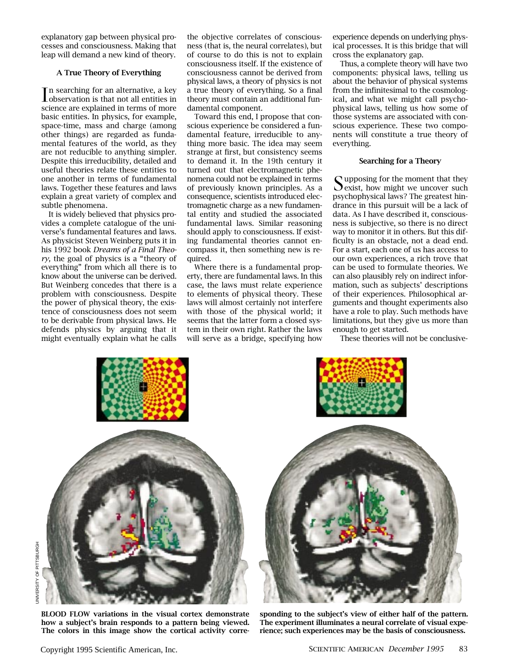explanatory gap between physical processes and consciousness. Making that leap will demand a new kind of theory.

## A True Theory of Everything

In searching for an alternative, a key<br>dobservation is that not all entities in n searching for an alternative, a key science are explained in terms of more basic entities. In physics, for example, space-time, mass and charge (among other things) are regarded as fundamental features of the world, as they are not reducible to anything simpler. Despite this irreducibility, detailed and useful theories relate these entities to one another in terms of fundamental laws. Together these features and laws explain a great variety of complex and subtle phenomena.

It is widely believed that physics provides a complete catalogue of the universe's fundamental features and laws. As physicist Steven Weinberg puts it in his 1992 book *Dreams of a Final Theory,* the goal of physics is a "theory of everything" from which all there is to know about the universe can be derived. But Weinberg concedes that there is a problem with consciousness. Despite the power of physical theory, the existence of consciousness does not seem to be derivable from physical laws. He defends physics by arguing that it might eventually explain what he calls

the objective correlates of consciousness (that is, the neural correlates), but of course to do this is not to explain consciousness itself. If the existence of consciousness cannot be derived from physical laws, a theory of physics is not a true theory of everything. So a final theory must contain an additional fundamental component.

Toward this end, I propose that conscious experience be considered a fundamental feature, irreducible to anything more basic. The idea may seem strange at first, but consistency seems to demand it. In the 19th century it turned out that electromagnetic phenomena could not be explained in terms of previously known principles. As a consequence, scientists introduced electromagnetic charge as a new fundamental entity and studied the associated fundamental laws. Similar reasoning should apply to consciousness. If existing fundamental theories cannot encompass it, then something new is required.

Where there is a fundamental property, there are fundamental laws. In this case, the laws must relate experience to elements of physical theory. These laws will almost certainly not interfere with those of the physical world; it seems that the latter form a closed system in their own right. Rather the laws will serve as a bridge, specifying how experience depends on underlying physical processes. It is this bridge that will cross the explanatory gap.

Thus, a complete theory will have two components: physical laws, telling us about the behavior of physical systems from the infinitesimal to the cosmological, and what we might call psychophysical laws, telling us how some of those systems are associated with conscious experience. These two components will constitute a true theory of everything.

## Searching for a Theory

Supposing for the moment that they<br>exist, how might we uncover such psychophysical laws? The greatest hindrance in this pursuit will be a lack of data. As I have described it, consciousness is subjective, so there is no direct way to monitor it in others. But this difficulty is an obstacle, not a dead end. For a start, each one of us has access to our own experiences, a rich trove that can be used to formulate theories. We can also plausibly rely on indirect information, such as subjects' descriptions of their experiences. Philosophical arguments and thought experiments also have a role to play. Such methods have limitations, but they give us more than enough to get started.

These theories will not be conclusive-



BLOOD FLOW variations in the visual cortex demonstrate how a subject's brain responds to a pattern being viewed. The colors in this image show the cortical activity corre-



sponding to the subject's view of either half of the pattern. The experiment illuminates a neural correlate of visual experience; such experiences may be the basis of consciousness.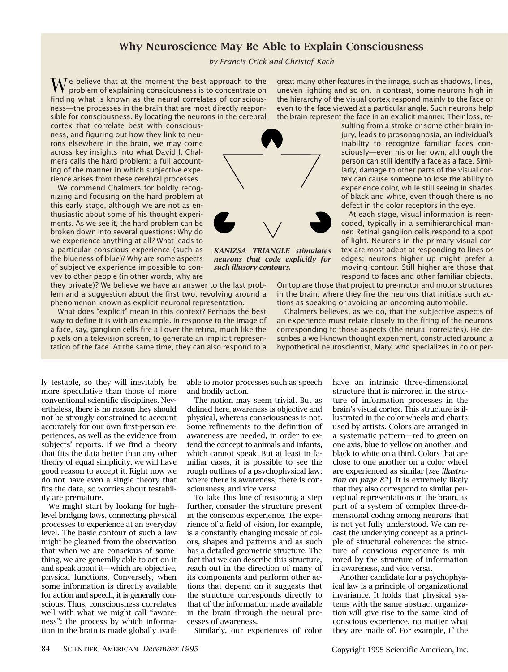## Why Neuroscience May Be Able to Explain Consciousness

*by Francis Crick and Christof Koch*

We believe that at the moment the best approach to the problem of explaining consciousness is to concentrate on finding what is known as the neural correlates of consciousness—the processes in the brain that are most directly responsible for consciousness. By locating the neurons in the cerebral

cortex that correlate best with consciousness, and figuring out how they link to neurons elsewhere in the brain, we may come across key insights into what David J. Chalmers calls the hard problem: a full accounting of the manner in which subjective experience arises from these cerebral processes.

We commend Chalmers for boldly recognizing and focusing on the hard problem at this early stage, although we are not as enthusiastic about some of his thought experiments. As we see it, the hard problem can be broken down into several questions: Why do we experience anything at all? What leads to a particular conscious experience (such as the blueness of blue)? Why are some aspects of subjective experience impossible to convey to other people (in other words, why are

they private)? We believe we have an answer to the last problem and a suggestion about the first two, revolving around a phenomenon known as explicit neuronal representation.

What does "explicit" mean in this context? Perhaps the best way to define it is with an example. In response to the image of a face, say, ganglion cells fire all over the retina, much like the pixels on a television screen, to generate an implicit representation of the face. At the same time, they can also respond to a great many other features in the image, such as shadows, lines, uneven lighting and so on. In contrast, some neurons high in the hierarchy of the visual cortex respond mainly to the face or even to the face viewed at a particular angle. Such neurons help the brain represent the face in an explicit manner. Their loss, re-

> sulting from a stroke or some other brain injury, leads to prosopagnosia, an individual's inability to recognize familiar faces consciously—even his or her own, although the person can still identify a face as a face. Similarly, damage to other parts of the visual cortex can cause someone to lose the ability to experience color, while still seeing in shades of black and white, even though there is no defect in the color receptors in the eye.

> At each stage, visual information is reencoded, typically in a semihierarchical manner. Retinal ganglion cells respond to a spot of light. Neurons in the primary visual cortex are most adept at responding to lines or edges; neurons higher up might prefer a moving contour. Still higher are those that respond to faces and other familiar objects.

On top are those that project to pre-motor and motor structures in the brain, where they fire the neurons that initiate such actions as speaking or avoiding an oncoming automobile.

Chalmers believes, as we do, that the subjective aspects of an experience must relate closely to the firing of the neurons corresponding to those aspects (the neural correlates). He describes a well-known thought experiment, constructed around a hypothetical neuroscientist, Mary, who specializes in color per-

ly testable, so they will inevitably be more speculative than those of more conventional scientific disciplines. Nevertheless, there is no reason they should not be strongly constrained to account accurately for our own first-person experiences, as well as the evidence from subjects' reports. If we find a theory that fits the data better than any other theory of equal simplicity, we will have good reason to accept it. Right now we do not have even a single theory that fits the data, so worries about testability are premature.

We might start by looking for highlevel bridging laws, connecting physical processes to experience at an everyday level. The basic contour of such a law might be gleaned from the observation that when we are conscious of something, we are generally able to act on it and speak about it—which are objective, physical functions. Conversely, when some information is directly available for action and speech, it is generally conscious. Thus, consciousness correlates well with what we might call "awareness": the process by which information in the brain is made globally available to motor processes such as speech and bodily action.

The notion may seem trivial. But as defined here, awareness is objective and physical, whereas consciousness is not. Some refinements to the definition of awareness are needed, in order to extend the concept to animals and infants, which cannot speak. But at least in familiar cases, it is possible to see the rough outlines of a psychophysical law: where there is awareness, there is consciousness, and vice versa.

To take this line of reasoning a step further, consider the structure present in the conscious experience. The experience of a field of vision, for example, is a constantly changing mosaic of colors, shapes and patterns and as such has a detailed geometric structure. The fact that we can describe this structure, reach out in the direction of many of its components and perform other actions that depend on it suggests that the structure corresponds directly to that of the information made available in the brain through the neural processes of awareness.

Similarly, our experiences of color

have an intrinsic three-dimensional structure that is mirrored in the structure of information processes in the brain's visual cortex. This structure is illustrated in the color wheels and charts used by artists. Colors are arranged in a systematic pattern—red to green on one axis, blue to yellow on another, and black to white on a third. Colors that are close to one another on a color wheel are experienced as similar [*see illustration on page 82*]. It is extremely likely that they also correspond to similar perceptual representations in the brain, as part of a system of complex three-dimensional coding among neurons that is not yet fully understood. We can recast the underlying concept as a principle of structural coherence: the structure of conscious experience is mirrored by the structure of information in awareness, and vice versa.

Another candidate for a psychophysical law is a principle of organizational invariance. It holds that physical systems with the same abstract organization will give rise to the same kind of conscious experience, no matter what they are made of. For example, if the



*KANIZSA TRIANGLE stimulates neurons that code explicitly for such illusory contours.*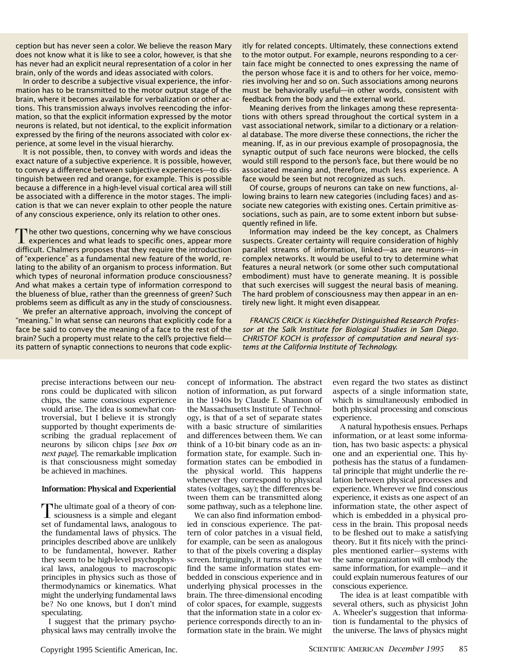ception but has never seen a color. We believe the reason Mary does not know what it is like to see a color, however, is that she has never had an explicit neural representation of a color in her brain, only of the words and ideas associated with colors.

In order to describe a subjective visual experience, the information has to be transmitted to the motor output stage of the brain, where it becomes available for verbalization or other actions. This transmission always involves reencoding the information, so that the explicit information expressed by the motor neurons is related, but not identical, to the explicit information expressed by the firing of the neurons associated with color experience, at some level in the visual hierarchy.

It is not possible, then, to convey with words and ideas the exact nature of a subjective experience. It is possible, however, to convey a difference between subjective experiences—to distinguish between red and orange, for example. This is possible because a difference in a high-level visual cortical area will still be associated with a difference in the motor stages. The implication is that we can never explain to other people the nature of any conscious experience, only its relation to other ones.

The other two questions, concerning why we have conscious<br>experiences and what leads to specific ones, appear more difficult. Chalmers proposes that they require the introduction of "experience" as a fundamental new feature of the world, relating to the ability of an organism to process information. But which types of neuronal information produce consciousness? And what makes a certain type of information correspond to the blueness of blue, rather than the greenness of green? Such problems seem as difficult as any in the study of consciousness.

We prefer an alternative approach, involving the concept of "meaning." In what sense can neurons that explicitly code for a face be said to convey the meaning of a face to the rest of the brain? Such a property must relate to the cell's projective field its pattern of synaptic connections to neurons that code explicitly for related concepts. Ultimately, these connections extend to the motor output. For example, neurons responding to a certain face might be connected to ones expressing the name of the person whose face it is and to others for her voice, memories involving her and so on. Such associations among neurons must be behaviorally useful—in other words, consistent with feedback from the body and the external world.

Meaning derives from the linkages among these representations with others spread throughout the cortical system in a vast associational network, similar to a dictionary or a relational database. The more diverse these connections, the richer the meaning. If, as in our previous example of prosopagnosia, the synaptic output of such face neurons were blocked, the cells would still respond to the person's face, but there would be no associated meaning and, therefore, much less experience. A face would be seen but not recognized as such.

Of course, groups of neurons can take on new functions, allowing brains to learn new categories (including faces) and associate new categories with existing ones. Certain primitive associations, such as pain, are to some extent inborn but subsequently refined in life.

Information may indeed be the key concept, as Chalmers suspects. Greater certainty will require consideration of highly parallel streams of information, linked—as are neurons—in complex networks. It would be useful to try to determine what features a neural network (or some other such computational embodiment) must have to generate meaning. It is possible that such exercises will suggest the neural basis of meaning. The hard problem of consciousness may then appear in an entirely new light. It might even disappear.

*FRANCIS CRICK is Kieckhefer Distinguished Research Professor at the Salk Institute for Biological Studies in San Diego. CHRISTOF KOCH is professor of computation and neural systems at the California Institute of Technology.*

precise interactions between our neurons could be duplicated with silicon chips, the same conscious experience would arise. The idea is somewhat controversial, but I believe it is strongly supported by thought experiments describing the gradual replacement of neurons by silicon chips [*see box on next page*]. The remarkable implication is that consciousness might someday be achieved in machines.

## Information: Physical and Experiential

The ultimate goal of a theory of consideration is a simple and elegant set of fundamental laws, analogous to the fundamental laws of physics. The principles described above are unlikely to be fundamental, however. Rather they seem to be high-level psychophysical laws, analogous to macroscopic principles in physics such as those of thermodynamics or kinematics. What might the underlying fundamental laws be? No one knows, but I don't mind speculating.

I suggest that the primary psychophysical laws may centrally involve the concept of information. The abstract notion of information, as put forward in the 1940s by Claude E. Shannon of the Massachusetts Institute of Technology, is that of a set of separate states with a basic structure of similarities and differences between them. We can think of a 10-bit binary code as an information state, for example. Such information states can be embodied in the physical world. This happens whenever they correspond to physical states (voltages, say); the differences between them can be transmitted along some pathway, such as a telephone line.

We can also find information embodied in conscious experience. The pattern of color patches in a visual field, for example, can be seen as analogous to that of the pixels covering a display screen. Intriguingly, it turns out that we find the same information states embedded in conscious experience and in underlying physical processes in the brain. The three-dimensional encoding of color spaces, for example, suggests that the information state in a color experience corresponds directly to an information state in the brain. We might even regard the two states as distinct aspects of a single information state, which is simultaneously embodied in both physical processing and conscious experience.

A natural hypothesis ensues. Perhaps information, or at least some information, has two basic aspects: a physical one and an experiential one. This hypothesis has the status of a fundamental principle that might underlie the relation between physical processes and experience. Wherever we find conscious experience, it exists as one aspect of an information state, the other aspect of which is embedded in a physical process in the brain. This proposal needs to be fleshed out to make a satisfying theory. But it fits nicely with the principles mentioned earlier—systems with the same organization will embody the same information, for example—and it could explain numerous features of our conscious experience.

The idea is at least compatible with several others, such as physicist John A. Wheeler's suggestion that information is fundamental to the physics of the universe. The laws of physics might